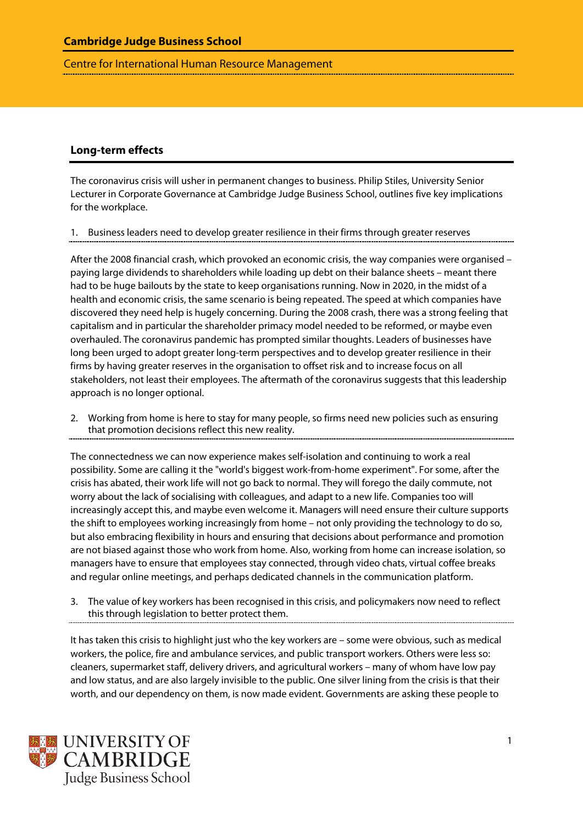Centre for International Human Resource Management

## **Long-term effects**

The coronavirus crisis will usher in permanent changes to business. Philip Stiles, University Senior Lecturer in Corporate Governance at Cambridge Judge Business School, outlines five key implications for the workplace.

1. Business leaders need to develop greater resilience in their firms through greater reserves

After the 2008 financial crash, which provoked an economic crisis, the way companies were organised – paying large dividends to shareholders while loading up debt on their balance sheets – meant there had to be huge bailouts by the state to keep organisations running. Now in 2020, in the midst of a health and economic crisis, the same scenario is being repeated. The speed at which companies have discovered they need help is hugely concerning. During the 2008 crash, there was a strong feeling that capitalism and in particular the shareholder primacy model needed to be reformed, or maybe even overhauled. The coronavirus pandemic has prompted similar thoughts. Leaders of businesses have long been urged to adopt greater long-term perspectives and to develop greater resilience in their firms by having greater reserves in the organisation to offset risk and to increase focus on all stakeholders, not least their employees. The aftermath of the coronavirus suggests that this leadership approach is no longer optional.

2. Working from home is here to stay for many people, so firms need new policies such as ensuring that promotion decisions reflect this new reality.

The connectedness we can now experience makes self-isolation and continuing to work a real possibility. Some are calling it the "world's biggest work-from-home experiment". For some, after the crisis has abated, their work life will not go back to normal. They will forego the daily commute, not worry about the lack of socialising with colleagues, and adapt to a new life. Companies too will increasingly accept this, and maybe even welcome it. Managers will need ensure their culture supports the shift to employees working increasingly from home – not only providing the technology to do so, but also embracing flexibility in hours and ensuring that decisions about performance and promotion are not biased against those who work from home. Also, working from home can increase isolation, so managers have to ensure that employees stay connected, through video chats, virtual coffee breaks and regular online meetings, and perhaps dedicated channels in the communication platform.

3. The value of key workers has been recognised in this crisis, and policymakers now need to reflect this through legislation to better protect them.

It has taken this crisis to highlight just who the key workers are – some were obvious, such as medical workers, the police, fire and ambulance services, and public transport workers. Others were less so: cleaners, supermarket staff, delivery drivers, and agricultural workers – many of whom have low pay and low status, and are also largely invisible to the public. One silver lining from the crisis is that their worth, and our dependency on them, is now made evident. Governments are asking these people to